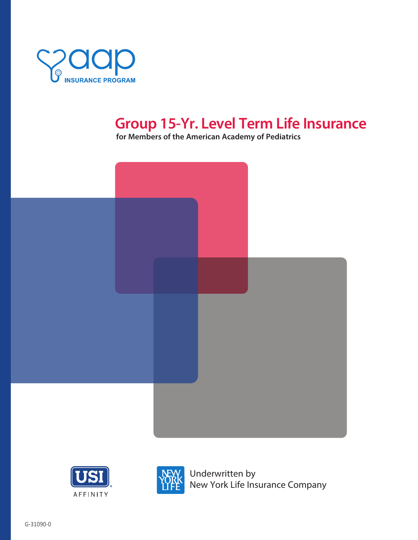

# **Group 15-Yr. Level Term Life Insurance**

**for Members of the American Academy of Pediatrics**







Underwritten by New York Life Insurance Company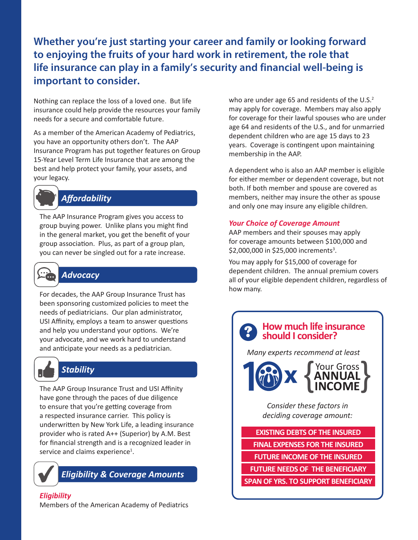## **Whether you're just starting your career and family or looking forward to enjoying the fruits of your hard work in retirement, the role that life insurance can play in a family's security and financial well-being is important to consider.**

Nothing can replace the loss of a loved one. But life insurance could help provide the resources your family needs for a secure and comfortable future.

As a member of the American Academy of Pediatrics, you have an opportunity others don't. The AAP Insurance Program has put together features on Group 15-Year Level Term Life Insurance that are among the best and help protect your family, your assets, and your legacy.



## *Affordability*

The AAP Insurance Program gives you access to group buying power. Unlike plans you might find in the general market, you get the benefit of your group association. Plus, as part of a group plan, you can never be singled out for a rate increase.



## *Advocacy*

For decades, the AAP Group Insurance Trust has been sponsoring customized policies to meet the needs of pediatricians. Our plan administrator, USI Affinity, employs a team to answer questions and help you understand your options. We're your advocate, and we work hard to understand and anticipate your needs as a pediatrician.



## *Stability*

The AAP Group Insurance Trust and USI Affinity have gone through the paces of due diligence to ensure that you're getting coverage from a respected insurance carrier. This policy is underwritten by New York Life, a leading insurance provider who is rated A++ (Superior) by A.M. Best for financial strength and is a recognized leader in service and claims experience<sup>1</sup>.



*Eligibility & Coverage Amounts*

## *Eligibility*

Members of the American Academy of Pediatrics

who are under age 65 and residents of the U.S.<sup>2</sup> may apply for coverage. Members may also apply for coverage for their lawful spouses who are under age 64 and residents of the U.S., and for unmarried dependent children who are age 15 days to 23 years. Coverage is contingent upon maintaining membership in the AAP.

A dependent who is also an AAP member is eligible for either member or dependent coverage, but not both. If both member and spouse are covered as members, neither may insure the other as spouse and only one may insure any eligible children.

### *Your Choice of Coverage Amount*

AAP members and their spouses may apply for coverage amounts between \$100,000 and \$2,000,000 in \$25,000 increments<sup>3</sup>.

You may apply for \$15,000 of coverage for dependent children. The annual premium covers all of your eligible dependent children, regardless of how many.

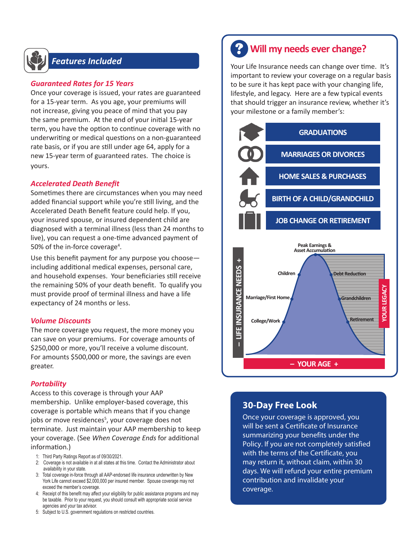

## *Features Included*

### *Guaranteed Rates for 15 Years*

Once your coverage is issued, your rates are guaranteed for a 15-year term. As you age, your premiums will not increase, giving you peace of mind that you pay the same premium. At the end of your initial 15-year term, you have the option to continue coverage with no underwriting or medical questions on a non-guaranteed rate basis, or if you are still under age 64, apply for a new 15-year term of guaranteed rates. The choice is yours.

### *Accelerated Death Benefit*

Sometimes there are circumstances when you may need added financial support while you're still living, and the Accelerated Death Benefit feature could help. If you, your insured spouse, or insured dependent child are diagnosed with a terminal illness (less than 24 months to live), you can request a one-time advanced payment of 50% of the in-force coverage<sup>4</sup>.

Use this benefit payment for any purpose you choose including additional medical expenses, personal care, and household expenses. Your beneficiaries still receive the remaining 50% of your death benefit. To qualify you must provide proof of terminal illness and have a life expectancy of 24 months or less.

### *Volume Discounts*

The more coverage you request, the more money you can save on your premiums. For coverage amounts of \$250,000 or more, you'll receive a volume discount. For amounts \$500,000 or more, the savings are even greater.

### *Portability*

Access to this coverage is through your AAP membership. Unlike employer-based coverage, this coverage is portable which means that if you change jobs or move residences<sup>5</sup>, your coverage does not terminate. Just maintain your AAP membership to keep your coverage. (See *When Coverage Ends* for additional information.)

- 1: Third Party Ratings Report as of 09/30/2021.
- 2: Coverage is not available in at all states at this time. Contact the Administrator about availability in your state.
- 3: Total coverage in-force through all AAP-endorsed life insurance underwritten by New York Life cannot exceed \$2,000,000 per insured member. Spouse coverage may not exceed the member's coverage.
- 4: Receipt of this benefit may affect your eligibility for public assistance programs and may be taxable. Prior to your request, you should consult with appropriate social service agencies and your tax advisor.
- 5: Subject to U.S. government regulations on restricted countries.

## **Will my needs ever change?** ?

Your Life Insurance needs can change over time. It's important to review your coverage on a regular basis to be sure it has kept pace with your changing life, lifestyle, and legacy. Here are a few typical events that should trigger an insurance review, whether it's your milestone or a family member's:



## **30-Day Free Look**

Once your coverage is approved, you will be sent a Certificate of Insurance summarizing your benefits under the Policy. If you are not completely satisfied with the terms of the Certificate, you may return it, without claim, within 30 days. We will refund your entire premium contribution and invalidate your coverage.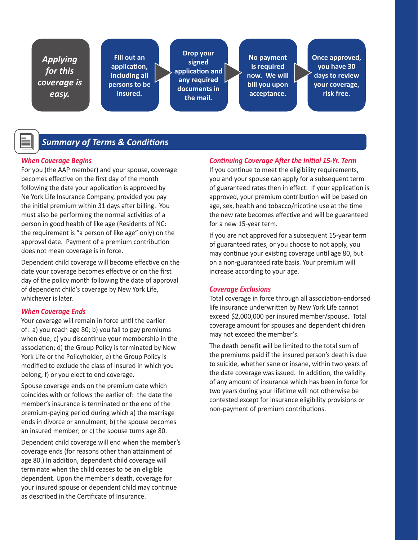*Applying for this coverage is easy.*

**Fill out an application, including all persons to be insured.**

**Drop your signed application and any required documents in the mail.**

**No payment is required now. We will bill you upon acceptance.**

**Once approved, you have 30 days to review your coverage, risk free.**

## *Summary of Terms & Conditions*

### *When Coverage Begins*

For you (the AAP member) and your spouse, coverage becomes effective on the first day of the month following the date your application is approved by Ne York Life Insurance Company, provided you pay the initial premium within 31 days after billing. You must also be performing the normal activities of a person in good health of like age (Residents of NC: the requirement is "a person of like age" only) on the approval date. Payment of a premium contribution does not mean coverage is in force.

Dependent child coverage will become effective on the date your coverage becomes effective or on the first day of the policy month following the date of approval of dependent child's coverage by New York Life, whichever is later.

### *When Coverage Ends*

Your coverage will remain in force until the earlier of: a) you reach age 80; b) you fail to pay premiums when due; c) you discontinue your membership in the association; d) the Group Policy is terminated by New York Life or the Policyholder; e) the Group Policy is modified to exclude the class of insured in which you belong; f) or you elect to end coverage.

Spouse coverage ends on the premium date which coincides with or follows the earlier of: the date the member's insurance is terminated or the end of the premium-paying period during which a) the marriage ends in divorce or annulment; b) the spouse becomes an insured member; or c) the spouse turns age 80.

Dependent child coverage will end when the member's coverage ends (for reasons other than attainment of age 80.) In addition, dependent child coverage will terminate when the child ceases to be an eligible dependent. Upon the member's death, coverage for your insured spouse or dependent child may continue as described in the Certificate of Insurance.

### *Continuing Coverage After the Initial 15-Yr. Term*

If you continue to meet the eligibility requirements, you and your spouse can apply for a subsequent term of guaranteed rates then in effect. If your application is approved, your premium contribution will be based on age, sex, health and tobacco/nicotine use at the time the new rate becomes effective and will be guaranteed for a new 15-year term.

If you are not approved for a subsequent 15-year term of guaranteed rates, or you choose to not apply, you may continue your existing coverage until age 80, but on a non-guaranteed rate basis. Your premium will increase according to your age.

#### *Coverage Exclusions*

Total coverage in force through all association-endorsed life insurance underwritten by New York Life cannot exceed \$2,000,000 per insured member/spouse. Total coverage amount for spouses and dependent children may not exceed the member's.

The death benefit will be limited to the total sum of the premiums paid if the insured person's death is due to suicide, whether sane or insane, within two years of the date coverage was issued. In addition, the validity of any amount of insurance which has been in force for two years during your lifetime will not otherwise be contested except for insurance eligibility provisions or non-payment of premium contributions.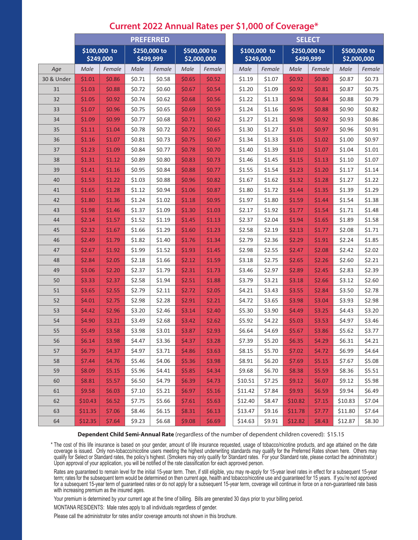|            | <b>PREFERRED</b>          |        |                           |        |                             |        |  | <b>SELECT</b>             |        |                           |        |                             |        |  |
|------------|---------------------------|--------|---------------------------|--------|-----------------------------|--------|--|---------------------------|--------|---------------------------|--------|-----------------------------|--------|--|
|            | \$100,000 to<br>\$249,000 |        | \$250,000 to<br>\$499,999 |        | \$500,000 to<br>\$2,000,000 |        |  | \$100,000 to<br>\$249,000 |        | \$250,000 to<br>\$499,999 |        | \$500,000 to<br>\$2,000,000 |        |  |
| Age        | Male                      | Female | Male                      | Female | Male                        | Female |  | Male                      | Female | Male                      | Female | Male                        | Female |  |
| 30 & Under | \$1.01                    | \$0.86 | \$0.71                    | \$0.58 | \$0.65                      | \$0.52 |  | \$1.19                    | \$1.07 | \$0.92                    | \$0.80 | \$0.87                      | \$0.73 |  |
| 31         | \$1.03                    | \$0.88 | \$0.72                    | \$0.60 | \$0.67                      | \$0.54 |  | \$1.20                    | \$1.09 | \$0.92                    | \$0.81 | \$0.87                      | \$0.75 |  |
| 32         | \$1.05                    | \$0.92 | \$0.74                    | \$0.62 | \$0.68                      | \$0.56 |  | \$1.22                    | \$1.13 | \$0.94                    | \$0.84 | \$0.88                      | \$0.79 |  |
| 33         | \$1.07                    | \$0.96 | \$0.75                    | \$0.65 | \$0.69                      | \$0.59 |  | \$1.24                    | \$1.16 | \$0.95                    | \$0.88 | \$0.90                      | \$0.82 |  |
| 34         | \$1.09                    | \$0.99 | \$0.77                    | \$0.68 | \$0.71                      | \$0.62 |  | \$1.27                    | \$1.21 | \$0.98                    | \$0.92 | \$0.93                      | \$0.86 |  |
| 35         | \$1.11                    | \$1.04 | \$0.78                    | \$0.72 | \$0.72                      | \$0.65 |  | \$1.30                    | \$1.27 | \$1.01                    | \$0.97 | \$0.96                      | \$0.91 |  |
| 36         | \$1.16                    | \$1.07 | \$0.81                    | \$0.73 | \$0.75                      | \$0.67 |  | \$1.34                    | \$1.33 | \$1.05                    | \$1.02 | \$1.00                      | \$0.97 |  |
| 37         | \$1.23                    | \$1.09 | \$0.84                    | \$0.77 | \$0.78                      | \$0.70 |  | \$1.40                    | \$1.39 | \$1.10                    | \$1.07 | \$1.04                      | \$1.01 |  |
| 38         | \$1.31                    | \$1.12 | \$0.89                    | \$0.80 | \$0.83                      | \$0.73 |  | \$1.46                    | \$1.45 | \$1.15                    | \$1.13 | \$1.10                      | \$1.07 |  |
| 39         | \$1.41                    | \$1.16 | \$0.95                    | \$0.84 | \$0.88                      | \$0.77 |  | \$1.55                    | \$1.54 | \$1.23                    | \$1.20 | \$1.17                      | \$1.14 |  |
| 40         | \$1.53                    | \$1.22 | \$1.03                    | \$0.88 | \$0.96                      | \$0.82 |  | \$1.67                    | \$1.62 | \$1.32                    | \$1.28 | \$1.27                      | \$1.22 |  |
| 41         | \$1.65                    | \$1.28 | \$1.12                    | \$0.94 | \$1.06                      | \$0.87 |  | \$1.80                    | \$1.72 | \$1.44                    | \$1.35 | \$1.39                      | \$1.29 |  |
| 42         | \$1.80                    | \$1.36 | \$1.24                    | \$1.02 | \$1.18                      | \$0.95 |  | \$1.97                    | \$1.80 | \$1.59                    | \$1.44 | \$1.54                      | \$1.38 |  |
| 43         | \$1.98                    | \$1.46 | \$1.37                    | \$1.09 | \$1.30                      | \$1.03 |  | \$2.17                    | \$1.92 | \$1.77                    | \$1.54 | \$1.71                      | \$1.48 |  |
| 44         | \$2.14                    | \$1.57 | \$1.52                    | \$1.19 | \$1.45                      | \$1.13 |  | \$2.37                    | \$2.04 | \$1.94                    | \$1.65 | \$1.89                      | \$1.58 |  |
| 45         | \$2.32                    | \$1.67 | \$1.66                    | \$1.29 | \$1.60                      | \$1.23 |  | \$2.58                    | \$2.19 | \$2.13                    | \$1.77 | \$2.08                      | \$1.71 |  |
| 46         | \$2.49                    | \$1.79 | \$1.82                    | \$1.40 | \$1.76                      | \$1.34 |  | \$2.79                    | \$2.36 | \$2.29                    | \$1.91 | \$2.24                      | \$1.85 |  |
| 47         | \$2.67                    | \$1.92 | \$1.99                    | \$1.52 | \$1.93                      | \$1.45 |  | \$2.98                    | \$2.55 | \$2.47                    | \$2.08 | \$2.42                      | \$2.02 |  |
| 48         | \$2.84                    | \$2.05 | \$2.18                    | \$1.66 | \$2.12                      | \$1.59 |  | \$3.18                    | \$2.75 | \$2.65                    | \$2.26 | \$2.60                      | \$2.21 |  |
| 49         | \$3.06                    | \$2.20 | \$2.37                    | \$1.79 | \$2.31                      | \$1.73 |  | \$3.46                    | \$2.97 | \$2.89                    | \$2.45 | \$2.83                      | \$2.39 |  |
| 50         | \$3.33                    | \$2.37 | \$2.58                    | \$1.94 | \$2.51                      | \$1.88 |  | \$3.79                    | \$3.21 | \$3.18                    | \$2.66 | \$3.12                      | \$2.60 |  |
| 51         | \$3.65                    | \$2.55 | \$2.79                    | \$2.11 | \$2.72                      | \$2.05 |  | \$4.21                    | \$3.43 | \$3.55                    | \$2.84 | \$3.50                      | \$2.78 |  |
| 52         | \$4.01                    | \$2.75 | \$2.98                    | \$2.28 | \$2.91                      | \$2.21 |  | \$4.72                    | \$3.65 | \$3.98                    | \$3.04 | \$3.93                      | \$2.98 |  |
| 53         | \$4.42                    | \$2.96 | \$3.20                    | \$2.46 | \$3.14                      | \$2.40 |  | \$5.30                    | \$3.90 | \$4.49                    | \$3.25 | \$4.43                      | \$3.20 |  |
| 54         | \$4.90                    | \$3.21 | \$3.49                    | \$2.68 | \$3.42                      | \$2.62 |  | \$5.92                    | \$4.22 | \$5.03                    | \$3.53 | \$4.97                      | \$3.46 |  |
| 55         | \$5.49                    | \$3.58 | \$3.98                    | \$3.01 | \$3.87                      | \$2.93 |  | \$6.64                    | \$4.69 | \$5.67                    | \$3.86 | \$5.62                      | \$3.77 |  |
| 56         | \$6.14                    | \$3.98 | \$4.47                    | \$3.36 | \$4.37                      | \$3.28 |  | \$7.39                    | \$5.20 | \$6.35                    | \$4.29 | \$6.31                      | \$4.21 |  |
| 57         | \$6.79                    | \$4.37 | \$4.97                    | \$3.71 | \$4.86                      | \$3.63 |  | \$8.15                    | \$5.70 | \$7.02                    | \$4.72 | \$6.99                      | \$4.64 |  |
| 58         | \$7.44                    | \$4.76 | \$5.46                    | \$4.06 | \$5.36                      | \$3.98 |  | \$8.91                    | \$6.20 | \$7.69                    | \$5.15 | \$7.67                      | \$5.08 |  |
| 59         | \$8.09                    | \$5.15 | \$5.96                    | \$4.41 | \$5.85                      | \$4.34 |  | \$9.68                    | \$6.70 | \$8.38                    | \$5.59 | \$8.36                      | \$5.51 |  |
| 60         | \$8.81                    | \$5.57 | \$6.50                    | \$4.79 | \$6.39                      | \$4.73 |  | \$10.51                   | \$7.25 | \$9.12                    | \$6.07 | \$9.12                      | \$5.98 |  |
| 61         | \$9.58                    | \$6.03 | \$7.10                    | \$5.21 | \$6.97                      | \$5.16 |  | \$11.42                   | \$7.84 | \$9.93                    | \$6.59 | \$9.94                      | \$6.49 |  |
| 62         | \$10.43                   | \$6.52 | \$7.75                    | \$5.66 | \$7.61                      | \$5.63 |  | \$12.40                   | \$8.47 | \$10.82                   | \$7.15 | \$10.83                     | \$7.04 |  |
| 63         | \$11.35                   | \$7.06 | \$8.46                    | \$6.15 | \$8.31                      | \$6.13 |  | \$13.47                   | \$9.16 | \$11.78                   | \$7.77 | \$11.80                     | \$7.64 |  |
| 64         | \$12.35                   | \$7.64 | \$9.23                    | \$6.68 | \$9.08                      | \$6.69 |  | \$14.63                   | \$9.91 | \$12.82                   | \$8.43 | \$12.87                     | \$8.30 |  |

## **Current 2022 Annual Rates per \$1,000 of Coverage\***

**Dependent Child Semi-Annual Rate** (regardless of the number of dependent children covered): \$15.15

\* The cost of this life insurance is based on your gender, amount of life insurance requested, usage of tobacco/nicotine products, and age attained on the date coverage is issued. Only non-tobacco/nicotine users meeting the highest underwriting standards may qualify for the Preferred Rates shown here. Others may qualify for Select or Standard rates, the policy's highest. (Smokers may only qualify for Standard rates. For your Standard rate, please contact the administrator.) Upon approval of your application, you will be notified of the rate classification for each approved person.

Rates are guaranteed to remain level for the initial 15-year term. Then, if still eligible, you may re-apply for 15-year level rates in effect for a subsequent 15-year term; rates for the subsequent term would be determined on then current age, health and tobacco/nicotine use and guaranteed for 15 years. If you're not approved for a subsequent 15-year term of guaranteed rates or do not apply for a subsequent 15-year term, coverage will continue in force on a non-guaranteed rate basis with increasing premium as the insured ages.

Your premium is determined by your current age at the time of billing. Bills are generated 30 days prior to your billing period.

MONTANA RESIDENTS: Male rates apply to all individuals regardless of gender.

Please call the administrator for rates and/or coverage amounts not shown in this brochure.